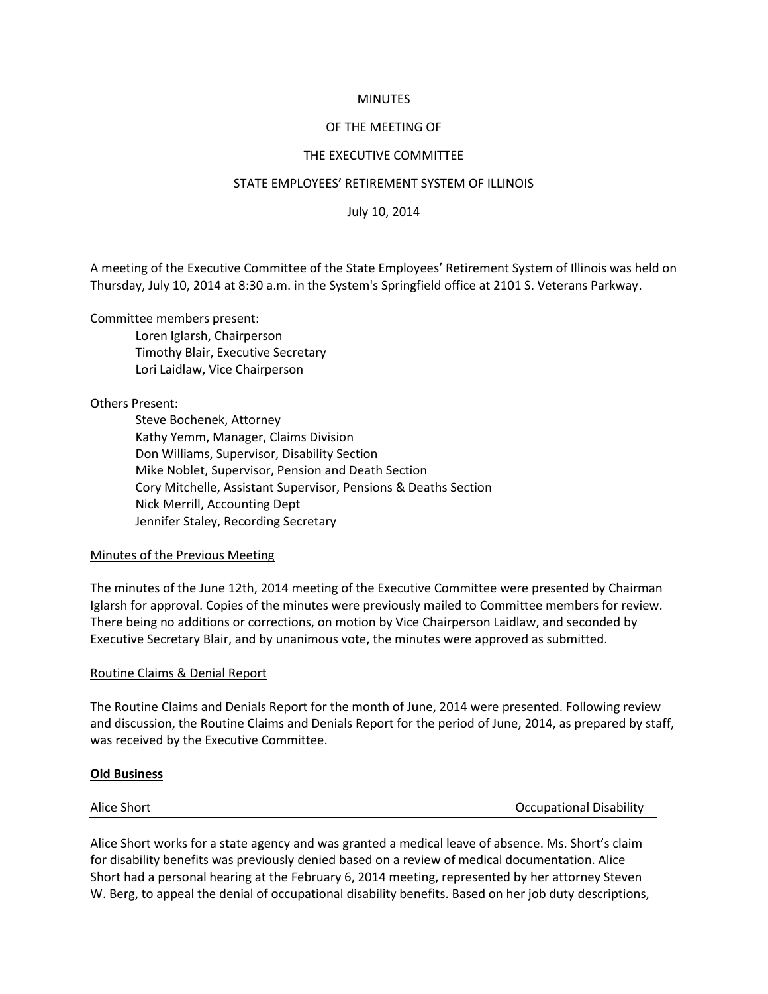## **MINUTES**

# OF THE MEETING OF

# THE EXECUTIVE COMMITTEE

## STATE EMPLOYEES' RETIREMENT SYSTEM OF ILLINOIS

July 10, 2014

A meeting of the Executive Committee of the State Employees' Retirement System of Illinois was held on Thursday, July 10, 2014 at 8:30 a.m. in the System's Springfield office at 2101 S. Veterans Parkway.

Committee members present:

Loren Iglarsh, Chairperson Timothy Blair, Executive Secretary Lori Laidlaw, Vice Chairperson

Others Present:

Steve Bochenek, Attorney Kathy Yemm, Manager, Claims Division Don Williams, Supervisor, Disability Section Mike Noblet, Supervisor, Pension and Death Section Cory Mitchelle, Assistant Supervisor, Pensions & Deaths Section Nick Merrill, Accounting Dept Jennifer Staley, Recording Secretary

## Minutes of the Previous Meeting

The minutes of the June 12th, 2014 meeting of the Executive Committee were presented by Chairman Iglarsh for approval. Copies of the minutes were previously mailed to Committee members for review. There being no additions or corrections, on motion by Vice Chairperson Laidlaw, and seconded by Executive Secretary Blair, and by unanimous vote, the minutes were approved as submitted.

## Routine Claims & Denial Report

The Routine Claims and Denials Report for the month of June, 2014 were presented. Following review and discussion, the Routine Claims and Denials Report for the period of June, 2014, as prepared by staff, was received by the Executive Committee.

## **Old Business**

Alice Short **Alice Short Contract Contract Contract Contract Contract Contract Contract Contract Contract Contract Contract Contract Contract Contract Contract Contract Contract Contract Contract Contract Contract Contract** 

Alice Short works for a state agency and was granted a medical leave of absence. Ms. Short's claim for disability benefits was previously denied based on a review of medical documentation. Alice Short had a personal hearing at the February 6, 2014 meeting, represented by her attorney Steven W. Berg, to appeal the denial of occupational disability benefits. Based on her job duty descriptions,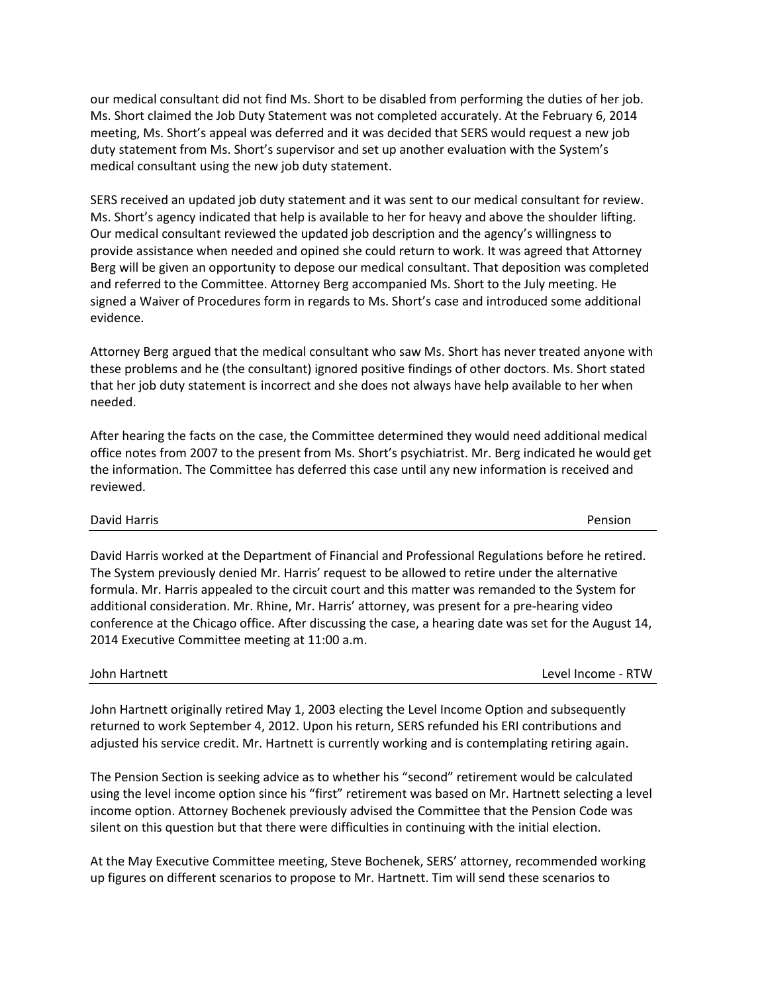our medical consultant did not find Ms. Short to be disabled from performing the duties of her job. Ms. Short claimed the Job Duty Statement was not completed accurately. At the February 6, 2014 meeting, Ms. Short's appeal was deferred and it was decided that SERS would request a new job duty statement from Ms. Short's supervisor and set up another evaluation with the System's medical consultant using the new job duty statement.

SERS received an updated job duty statement and it was sent to our medical consultant for review. Ms. Short's agency indicated that help is available to her for heavy and above the shoulder lifting. Our medical consultant reviewed the updated job description and the agency's willingness to provide assistance when needed and opined she could return to work. It was agreed that Attorney Berg will be given an opportunity to depose our medical consultant. That deposition was completed and referred to the Committee. Attorney Berg accompanied Ms. Short to the July meeting. He signed a Waiver of Procedures form in regards to Ms. Short's case and introduced some additional evidence.

Attorney Berg argued that the medical consultant who saw Ms. Short has never treated anyone with these problems and he (the consultant) ignored positive findings of other doctors. Ms. Short stated that her job duty statement is incorrect and she does not always have help available to her when needed.

After hearing the facts on the case, the Committee determined they would need additional medical office notes from 2007 to the present from Ms. Short's psychiatrist. Mr. Berg indicated he would get the information. The Committee has deferred this case until any new information is received and reviewed.

## David Harris Pension

David Harris worked at the Department of Financial and Professional Regulations before he retired. The System previously denied Mr. Harris' request to be allowed to retire under the alternative formula. Mr. Harris appealed to the circuit court and this matter was remanded to the System for additional consideration. Mr. Rhine, Mr. Harris' attorney, was present for a pre-hearing video conference at the Chicago office. After discussing the case, a hearing date was set for the August 14, 2014 Executive Committee meeting at 11:00 a.m.

John Hartnett Level Income - RTW

John Hartnett originally retired May 1, 2003 electing the Level Income Option and subsequently returned to work September 4, 2012. Upon his return, SERS refunded his ERI contributions and adjusted his service credit. Mr. Hartnett is currently working and is contemplating retiring again.

The Pension Section is seeking advice as to whether his "second" retirement would be calculated using the level income option since his "first" retirement was based on Mr. Hartnett selecting a level income option. Attorney Bochenek previously advised the Committee that the Pension Code was silent on this question but that there were difficulties in continuing with the initial election.

At the May Executive Committee meeting, Steve Bochenek, SERS' attorney, recommended working up figures on different scenarios to propose to Mr. Hartnett. Tim will send these scenarios to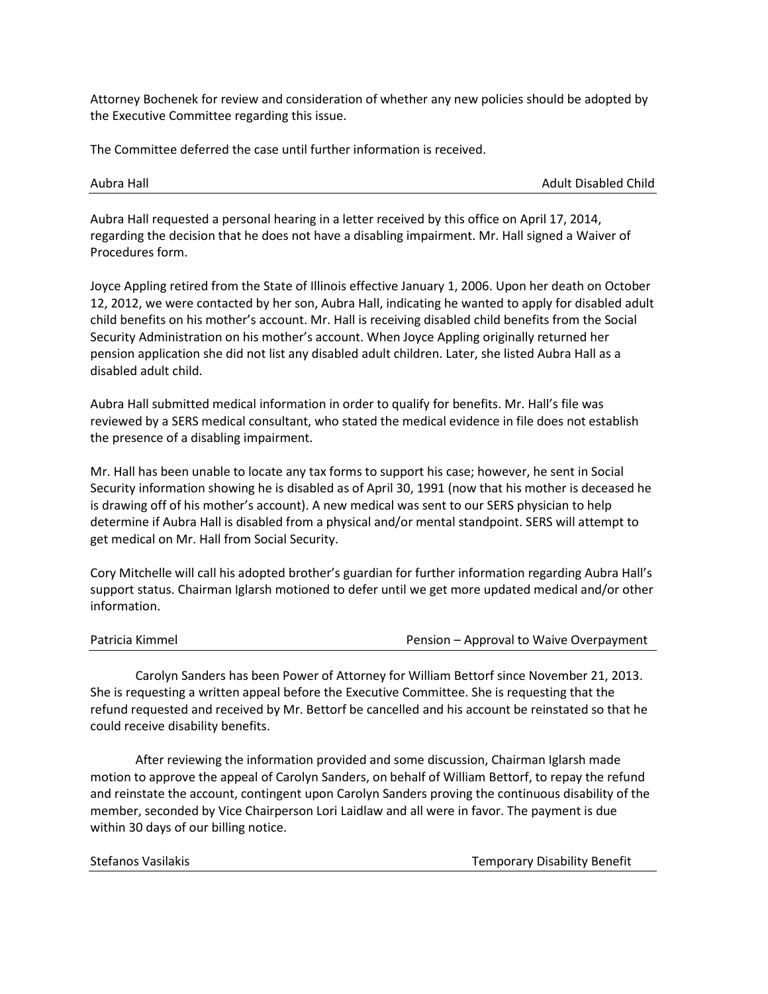Attorney Bochenek for review and consideration of whether any new policies should be adopted by the Executive Committee regarding this issue.

The Committee deferred the case until further information is received.

Aubra Hall Adult Disabled Child

Aubra Hall requested a personal hearing in a letter received by this office on April 17, 2014, regarding the decision that he does not have a disabling impairment. Mr. Hall signed a Waiver of Procedures form.

Joyce Appling retired from the State of Illinois effective January 1, 2006. Upon her death on October 12, 2012, we were contacted by her son, Aubra Hall, indicating he wanted to apply for disabled adult child benefits on his mother's account. Mr. Hall is receiving disabled child benefits from the Social Security Administration on his mother's account. When Joyce Appling originally returned her pension application she did not list any disabled adult children. Later, she listed Aubra Hall as a disabled adult child.

Aubra Hall submitted medical information in order to qualify for benefits. Mr. Hall's file was reviewed by a SERS medical consultant, who stated the medical evidence in file does not establish the presence of a disabling impairment.

Mr. Hall has been unable to locate any tax forms to support his case; however, he sent in Social Security information showing he is disabled as of April 30, 1991 (now that his mother is deceased he is drawing off of his mother's account). A new medical was sent to our SERS physician to help determine if Aubra Hall is disabled from a physical and/or mental standpoint. SERS will attempt to get medical on Mr. Hall from Social Security.

Cory Mitchelle will call his adopted brother's guardian for further information regarding Aubra Hall's support status. Chairman Iglarsh motioned to defer until we get more updated medical and/or other information.

| Pension – Approval to Waive Overpayment |
|-----------------------------------------|
|                                         |

Carolyn Sanders has been Power of Attorney for William Bettorf since November 21, 2013. She is requesting a written appeal before the Executive Committee. She is requesting that the refund requested and received by Mr. Bettorf be cancelled and his account be reinstated so that he could receive disability benefits.

After reviewing the information provided and some discussion, Chairman Iglarsh made motion to approve the appeal of Carolyn Sanders, on behalf of William Bettorf, to repay the refund and reinstate the account, contingent upon Carolyn Sanders proving the continuous disability of the member, seconded by Vice Chairperson Lori Laidlaw and all were in favor. The payment is due within 30 days of our billing notice.

| Stefanos Vasilakis |  |
|--------------------|--|
|--------------------|--|

Temporary Disability Benefit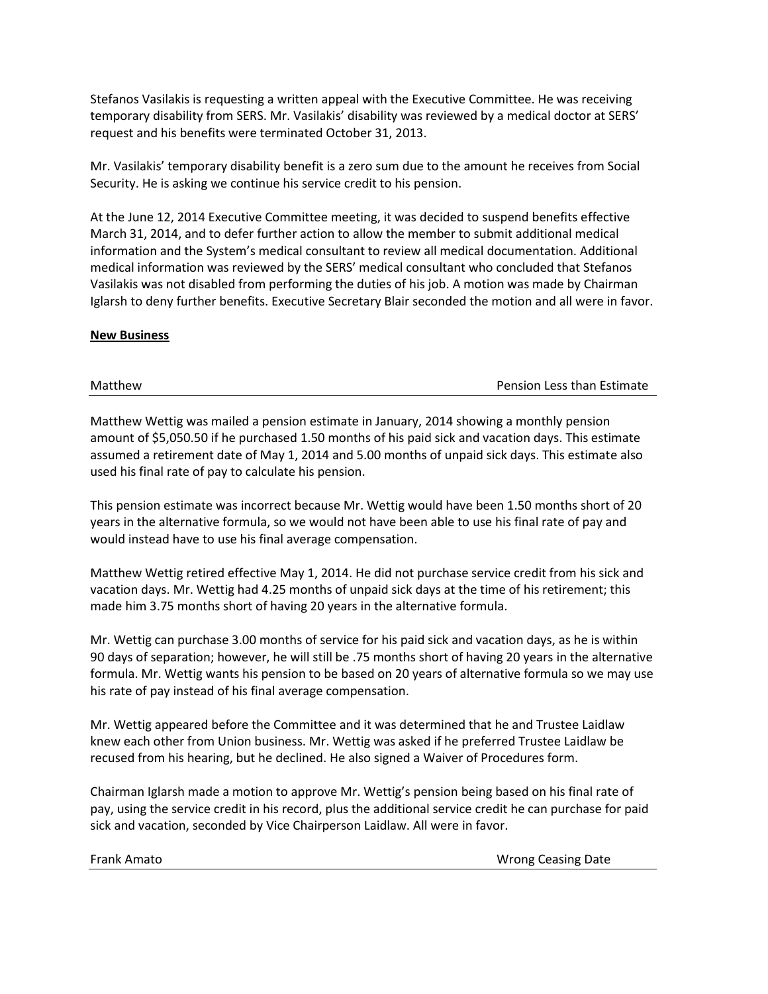Stefanos Vasilakis is requesting a written appeal with the Executive Committee. He was receiving temporary disability from SERS. Mr. Vasilakis' disability was reviewed by a medical doctor at SERS' request and his benefits were terminated October 31, 2013.

Mr. Vasilakis' temporary disability benefit is a zero sum due to the amount he receives from Social Security. He is asking we continue his service credit to his pension.

At the June 12, 2014 Executive Committee meeting, it was decided to suspend benefits effective March 31, 2014, and to defer further action to allow the member to submit additional medical information and the System's medical consultant to review all medical documentation. Additional medical information was reviewed by the SERS' medical consultant who concluded that Stefanos Vasilakis was not disabled from performing the duties of his job. A motion was made by Chairman Iglarsh to deny further benefits. Executive Secretary Blair seconded the motion and all were in favor.

# **New Business**

Matthew Pension Less than Estimate

Matthew Wettig was mailed a pension estimate in January, 2014 showing a monthly pension amount of \$5,050.50 if he purchased 1.50 months of his paid sick and vacation days. This estimate assumed a retirement date of May 1, 2014 and 5.00 months of unpaid sick days. This estimate also used his final rate of pay to calculate his pension.

This pension estimate was incorrect because Mr. Wettig would have been 1.50 months short of 20 years in the alternative formula, so we would not have been able to use his final rate of pay and would instead have to use his final average compensation.

Matthew Wettig retired effective May 1, 2014. He did not purchase service credit from his sick and vacation days. Mr. Wettig had 4.25 months of unpaid sick days at the time of his retirement; this made him 3.75 months short of having 20 years in the alternative formula.

Mr. Wettig can purchase 3.00 months of service for his paid sick and vacation days, as he is within 90 days of separation; however, he will still be .75 months short of having 20 years in the alternative formula. Mr. Wettig wants his pension to be based on 20 years of alternative formula so we may use his rate of pay instead of his final average compensation.

Mr. Wettig appeared before the Committee and it was determined that he and Trustee Laidlaw knew each other from Union business. Mr. Wettig was asked if he preferred Trustee Laidlaw be recused from his hearing, but he declined. He also signed a Waiver of Procedures form.

Chairman Iglarsh made a motion to approve Mr. Wettig's pension being based on his final rate of pay, using the service credit in his record, plus the additional service credit he can purchase for paid sick and vacation, seconded by Vice Chairperson Laidlaw. All were in favor.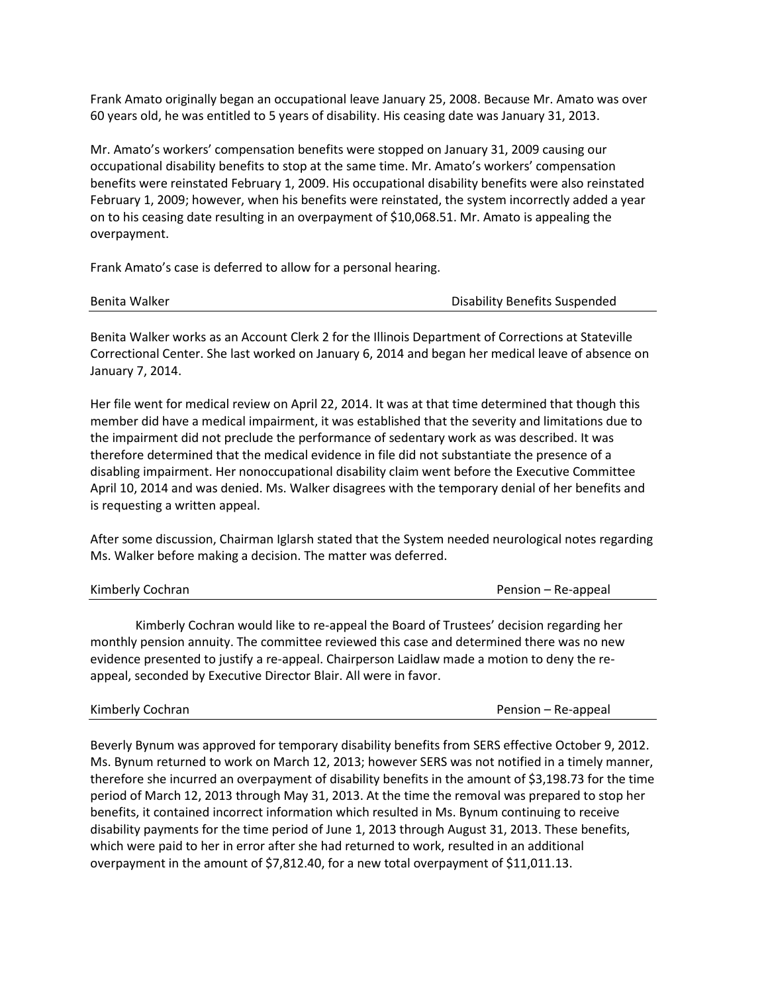Frank Amato originally began an occupational leave January 25, 2008. Because Mr. Amato was over 60 years old, he was entitled to 5 years of disability. His ceasing date was January 31, 2013.

Mr. Amato's workers' compensation benefits were stopped on January 31, 2009 causing our occupational disability benefits to stop at the same time. Mr. Amato's workers' compensation benefits were reinstated February 1, 2009. His occupational disability benefits were also reinstated February 1, 2009; however, when his benefits were reinstated, the system incorrectly added a year on to his ceasing date resulting in an overpayment of \$10,068.51. Mr. Amato is appealing the overpayment.

Frank Amato's case is deferred to allow for a personal hearing.

| Benita Walker | Disability Benefits Suspended |
|---------------|-------------------------------|
|---------------|-------------------------------|

Benita Walker works as an Account Clerk 2 for the Illinois Department of Corrections at Stateville Correctional Center. She last worked on January 6, 2014 and began her medical leave of absence on January 7, 2014.

Her file went for medical review on April 22, 2014. It was at that time determined that though this member did have a medical impairment, it was established that the severity and limitations due to the impairment did not preclude the performance of sedentary work as was described. It was therefore determined that the medical evidence in file did not substantiate the presence of a disabling impairment. Her nonoccupational disability claim went before the Executive Committee April 10, 2014 and was denied. Ms. Walker disagrees with the temporary denial of her benefits and is requesting a written appeal.

After some discussion, Chairman Iglarsh stated that the System needed neurological notes regarding Ms. Walker before making a decision. The matter was deferred.

Kimberly Cochran **Pension – Re-appeal** Pension – Re-appeal

Kimberly Cochran would like to re-appeal the Board of Trustees' decision regarding her monthly pension annuity. The committee reviewed this case and determined there was no new evidence presented to justify a re-appeal. Chairperson Laidlaw made a motion to deny the reappeal, seconded by Executive Director Blair. All were in favor.

Kimberly Cochran **Pension – Re-appeal** 

Beverly Bynum was approved for temporary disability benefits from SERS effective October 9, 2012. Ms. Bynum returned to work on March 12, 2013; however SERS was not notified in a timely manner, therefore she incurred an overpayment of disability benefits in the amount of \$3,198.73 for the time period of March 12, 2013 through May 31, 2013. At the time the removal was prepared to stop her benefits, it contained incorrect information which resulted in Ms. Bynum continuing to receive disability payments for the time period of June 1, 2013 through August 31, 2013. These benefits, which were paid to her in error after she had returned to work, resulted in an additional overpayment in the amount of \$7,812.40, for a new total overpayment of \$11,011.13.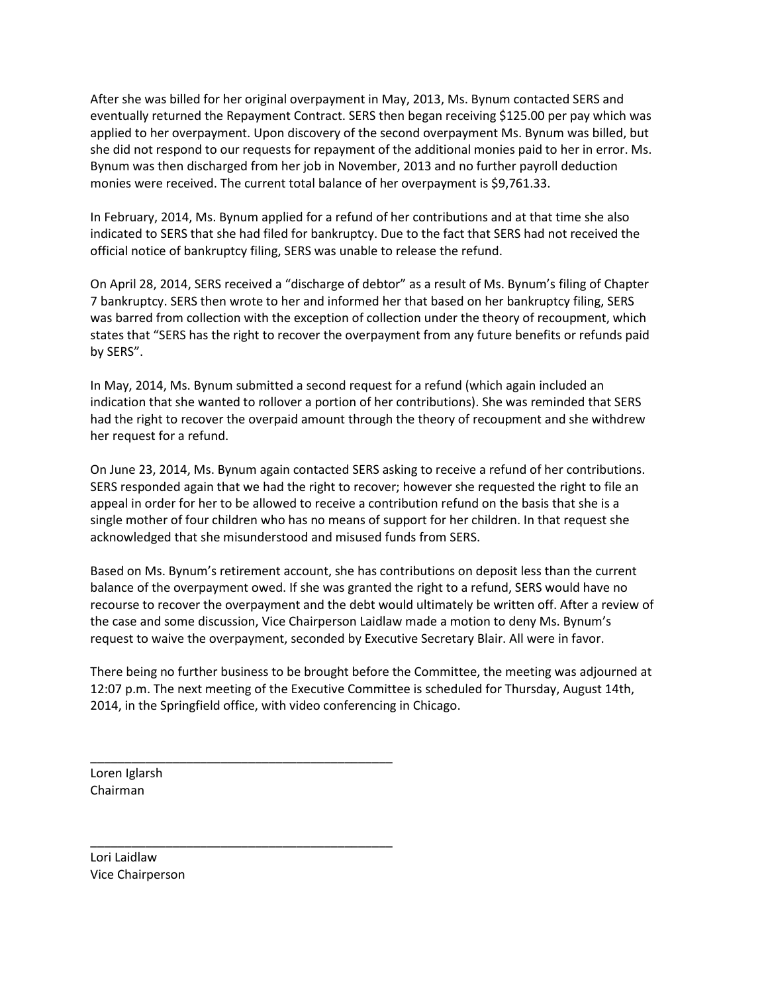After she was billed for her original overpayment in May, 2013, Ms. Bynum contacted SERS and eventually returned the Repayment Contract. SERS then began receiving \$125.00 per pay which was applied to her overpayment. Upon discovery of the second overpayment Ms. Bynum was billed, but she did not respond to our requests for repayment of the additional monies paid to her in error. Ms. Bynum was then discharged from her job in November, 2013 and no further payroll deduction monies were received. The current total balance of her overpayment is \$9,761.33.

In February, 2014, Ms. Bynum applied for a refund of her contributions and at that time she also indicated to SERS that she had filed for bankruptcy. Due to the fact that SERS had not received the official notice of bankruptcy filing, SERS was unable to release the refund.

On April 28, 2014, SERS received a "discharge of debtor" as a result of Ms. Bynum's filing of Chapter 7 bankruptcy. SERS then wrote to her and informed her that based on her bankruptcy filing, SERS was barred from collection with the exception of collection under the theory of recoupment, which states that "SERS has the right to recover the overpayment from any future benefits or refunds paid by SERS".

In May, 2014, Ms. Bynum submitted a second request for a refund (which again included an indication that she wanted to rollover a portion of her contributions). She was reminded that SERS had the right to recover the overpaid amount through the theory of recoupment and she withdrew her request for a refund.

On June 23, 2014, Ms. Bynum again contacted SERS asking to receive a refund of her contributions. SERS responded again that we had the right to recover; however she requested the right to file an appeal in order for her to be allowed to receive a contribution refund on the basis that she is a single mother of four children who has no means of support for her children. In that request she acknowledged that she misunderstood and misused funds from SERS.

Based on Ms. Bynum's retirement account, she has contributions on deposit less than the current balance of the overpayment owed. If she was granted the right to a refund, SERS would have no recourse to recover the overpayment and the debt would ultimately be written off. After a review of the case and some discussion, Vice Chairperson Laidlaw made a motion to deny Ms. Bynum's request to waive the overpayment, seconded by Executive Secretary Blair. All were in favor.

There being no further business to be brought before the Committee, the meeting was adjourned at 12:07 p.m. The next meeting of the Executive Committee is scheduled for Thursday, August 14th, 2014, in the Springfield office, with video conferencing in Chicago.

Loren Iglarsh Chairman

\_\_\_\_\_\_\_\_\_\_\_\_\_\_\_\_\_\_\_\_\_\_\_\_\_\_\_\_\_\_\_\_\_\_\_\_\_\_\_\_\_\_\_\_

\_\_\_\_\_\_\_\_\_\_\_\_\_\_\_\_\_\_\_\_\_\_\_\_\_\_\_\_\_\_\_\_\_\_\_\_\_\_\_\_\_\_\_\_

Lori Laidlaw Vice Chairperson